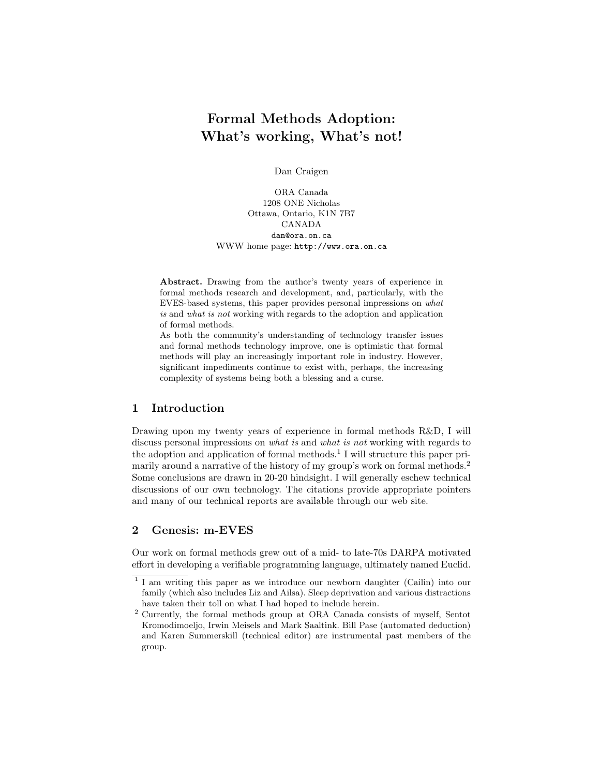# **Formal Methods Adoption: What's working, What's not!**

Dan Craigen

ORA Canada 1208 ONE Nicholas Ottawa, Ontario, K1N 7B7 CANADA dan@ora.on.ca WWW home page: http://www.ora.on.ca

**Abstract.** Drawing from the author's twenty years of experience in formal methods research and development, and, particularly, with the EVES-based systems, this paper provides personal impressions on what is and what is not working with regards to the adoption and application of formal methods.

As both the community's understanding of technology transfer issues and formal methods technology improve, one is optimistic that formal methods will play an increasingly important role in industry. However, significant impediments continue to exist with, perhaps, the increasing complexity of systems being both a blessing and a curse.

# **1 Introduction**

Drawing upon my twenty years of experience in formal methods R&D, I will discuss personal impressions on what is and what is not working with regards to the adoption and application of formal methods.<sup>1</sup> I will structure this paper primarily around a narrative of the history of my group's work on formal methods.<sup>2</sup> Some conclusions are drawn in 20-20 hindsight. I will generally eschew technical discussions of our own technology. The citations provide appropriate pointers and many of our technical reports are available through our web site.

# **2 Genesis: m-EVES**

Our work on formal methods grew out of a mid- to late-70s DARPA motivated effort in developing a verifiable programming language, ultimately named Euclid.

<sup>1</sup> I am writing this paper as we introduce our newborn daughter (Cailin) into our family (which also includes Liz and Ailsa). Sleep deprivation and various distractions have taken their toll on what I had hoped to include herein.

<sup>2</sup> Currently, the formal methods group at ORA Canada consists of myself, Sentot Kromodimoeljo, Irwin Meisels and Mark Saaltink. Bill Pase (automated deduction) and Karen Summerskill (technical editor) are instrumental past members of the group.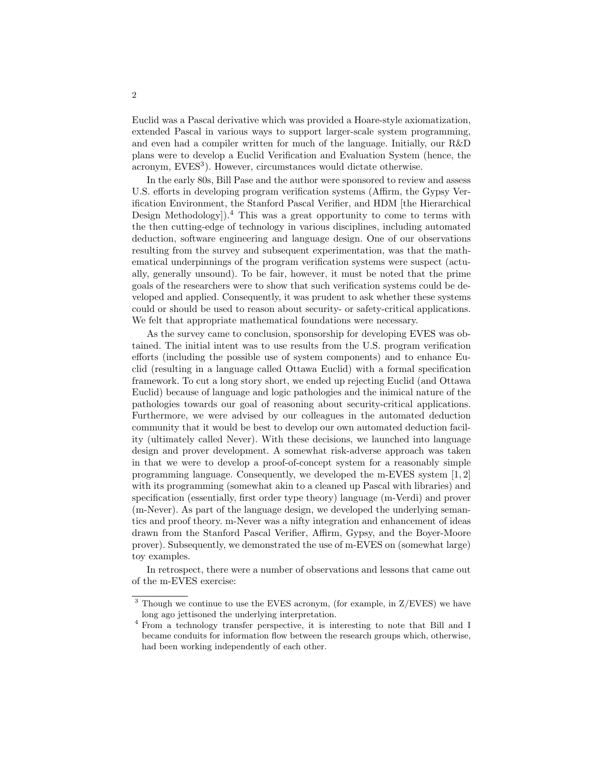Euclid was a Pascal derivative which was provided a Hoare-style axiomatization, extended Pascal in various ways to support larger-scale system programming, and even had a compiler written for much of the language. Initially, our R&D plans were to develop a Euclid Verification and Evaluation System (hence, the acronym, EVES<sup>3</sup>). However, circumstances would dictate otherwise.

In the early 80s, Bill Pase and the author were sponsored to review and assess U.S. efforts in developing program verification systems (Affirm, the Gypsy Verification Environment, the Stanford Pascal Verifier, and HDM [the Hierarchical Design Methodology]).<sup>4</sup> This was a great opportunity to come to terms with the then cutting-edge of technology in various disciplines, including automated deduction, software engineering and language design. One of our observations resulting from the survey and subsequent experimentation, was that the mathematical underpinnings of the program verification systems were suspect (actually, generally unsound). To be fair, however, it must be noted that the prime goals of the researchers were to show that such verification systems could be developed and applied. Consequently, it was prudent to ask whether these systems could or should be used to reason about security- or safety-critical applications. We felt that appropriate mathematical foundations were necessary.

As the survey came to conclusion, sponsorship for developing EVES was obtained. The initial intent was to use results from the U.S. program verification efforts (including the possible use of system components) and to enhance Euclid (resulting in a language called Ottawa Euclid) with a formal specification framework. To cut a long story short, we ended up rejecting Euclid (and Ottawa Euclid) because of language and logic pathologies and the inimical nature of the pathologies towards our goal of reasoning about security-critical applications. Furthermore, we were advised by our colleagues in the automated deduction community that it would be best to develop our own automated deduction facility (ultimately called Never). With these decisions, we launched into language design and prover development. A somewhat risk-adverse approach was taken in that we were to develop a proof-of-concept system for a reasonably simple programming language. Consequently, we developed the m-EVES system [1, 2] with its programming (somewhat akin to a cleaned up Pascal with libraries) and specification (essentially, first order type theory) language (m-Verdi) and prover (m-Never). As part of the language design, we developed the underlying semantics and proof theory. m-Never was a nifty integration and enhancement of ideas drawn from the Stanford Pascal Verifier, Affirm, Gypsy, and the Boyer-Moore prover). Subsequently, we demonstrated the use of m-EVES on (somewhat large) toy examples.

In retrospect, there were a number of observations and lessons that came out of the m-EVES exercise:

<sup>3</sup> Though we continue to use the EVES acronym, (for example, in Z/EVES) we have long ago jettisoned the underlying interpretation.

<sup>4</sup> From a technology transfer perspective, it is interesting to note that Bill and I became conduits for information flow between the research groups which, otherwise, had been working independently of each other.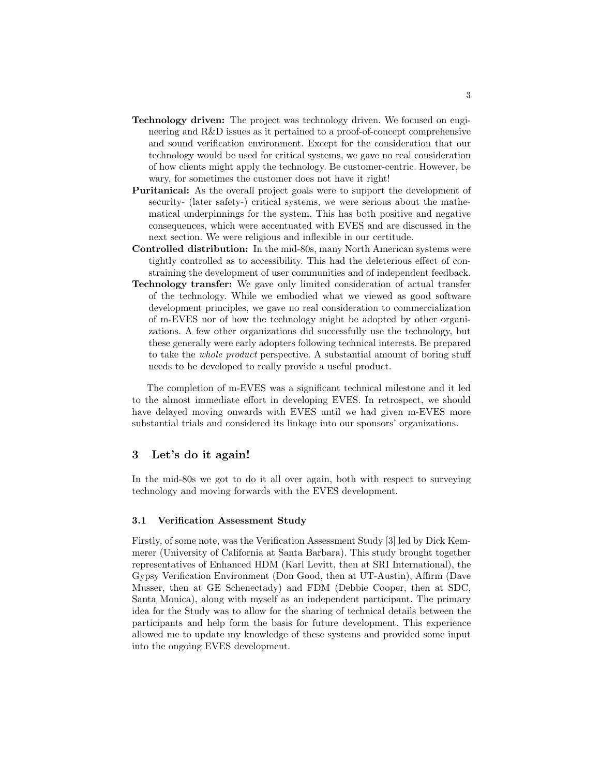- **Technology driven:** The project was technology driven. We focused on engineering and R&D issues as it pertained to a proof-of-concept comprehensive and sound verification environment. Except for the consideration that our technology would be used for critical systems, we gave no real consideration of how clients might apply the technology. Be customer-centric. However, be wary, for sometimes the customer does not have it right!
- **Puritanical:** As the overall project goals were to support the development of security- (later safety-) critical systems, we were serious about the mathematical underpinnings for the system. This has both positive and negative consequences, which were accentuated with EVES and are discussed in the next section. We were religious and inflexible in our certitude.
- **Controlled distribution:** In the mid-80s, many North American systems were tightly controlled as to accessibility. This had the deleterious effect of constraining the development of user communities and of independent feedback.
- **Technology transfer:** We gave only limited consideration of actual transfer of the technology. While we embodied what we viewed as good software development principles, we gave no real consideration to commercialization of m-EVES nor of how the technology might be adopted by other organizations. A few other organizations did successfully use the technology, but these generally were early adopters following technical interests. Be prepared to take the whole product perspective. A substantial amount of boring stuff needs to be developed to really provide a useful product.

The completion of m-EVES was a significant technical milestone and it led to the almost immediate effort in developing EVES. In retrospect, we should have delayed moving onwards with EVES until we had given m-EVES more substantial trials and considered its linkage into our sponsors' organizations.

# **3 Let's do it again!**

In the mid-80s we got to do it all over again, both with respect to surveying technology and moving forwards with the EVES development.

#### **3.1 Verification Assessment Study**

Firstly, of some note, was the Verification Assessment Study [3] led by Dick Kemmerer (University of California at Santa Barbara). This study brought together representatives of Enhanced HDM (Karl Levitt, then at SRI International), the Gypsy Verification Environment (Don Good, then at UT-Austin), Affirm (Dave Musser, then at GE Schenectady) and FDM (Debbie Cooper, then at SDC, Santa Monica), along with myself as an independent participant. The primary idea for the Study was to allow for the sharing of technical details between the participants and help form the basis for future development. This experience allowed me to update my knowledge of these systems and provided some input into the ongoing EVES development.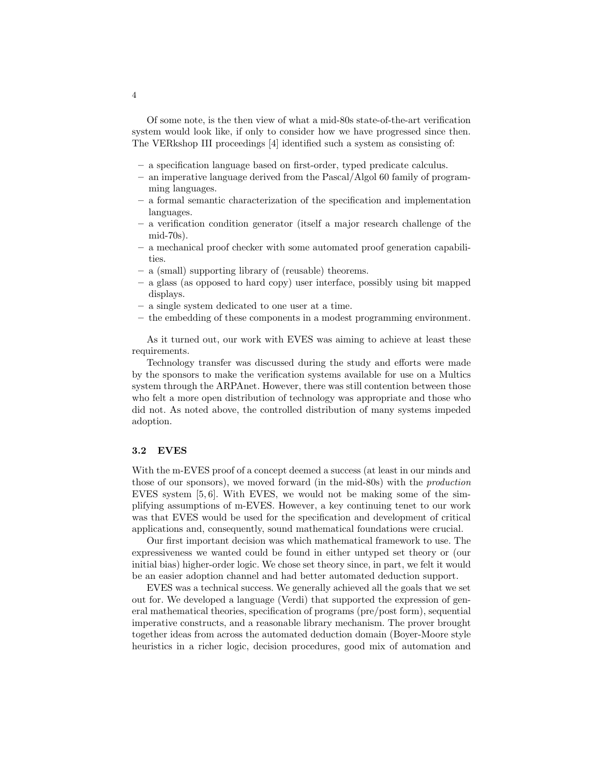Of some note, is the then view of what a mid-80s state-of-the-art verification system would look like, if only to consider how we have progressed since then. The VERkshop III proceedings [4] identified such a system as consisting of:

- **–** a specification language based on first-order, typed predicate calculus.
- **–** an imperative language derived from the Pascal/Algol 60 family of programming languages.
- **–** a formal semantic characterization of the specification and implementation languages.
- **–** a verification condition generator (itself a major research challenge of the mid-70s).
- **–** a mechanical proof checker with some automated proof generation capabilities.
- **–** a (small) supporting library of (reusable) theorems.
- **–** a glass (as opposed to hard copy) user interface, possibly using bit mapped displays.
- **–** a single system dedicated to one user at a time.
- **–** the embedding of these components in a modest programming environment.

As it turned out, our work with EVES was aiming to achieve at least these requirements.

Technology transfer was discussed during the study and efforts were made by the sponsors to make the verification systems available for use on a Multics system through the ARPAnet. However, there was still contention between those who felt a more open distribution of technology was appropriate and those who did not. As noted above, the controlled distribution of many systems impeded adoption.

#### **3.2 EVES**

With the m-EVES proof of a concept deemed a success (at least in our minds and those of our sponsors), we moved forward (in the mid-80s) with the production EVES system [5, 6]. With EVES, we would not be making some of the simplifying assumptions of m-EVES. However, a key continuing tenet to our work was that EVES would be used for the specification and development of critical applications and, consequently, sound mathematical foundations were crucial.

Our first important decision was which mathematical framework to use. The expressiveness we wanted could be found in either untyped set theory or (our initial bias) higher-order logic. We chose set theory since, in part, we felt it would be an easier adoption channel and had better automated deduction support.

EVES was a technical success. We generally achieved all the goals that we set out for. We developed a language (Verdi) that supported the expression of general mathematical theories, specification of programs (pre/post form), sequential imperative constructs, and a reasonable library mechanism. The prover brought together ideas from across the automated deduction domain (Boyer-Moore style heuristics in a richer logic, decision procedures, good mix of automation and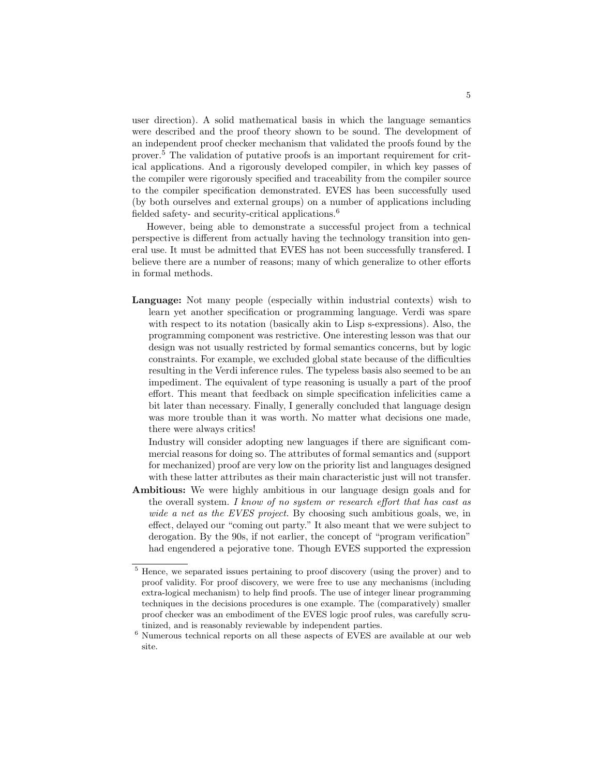user direction). A solid mathematical basis in which the language semantics were described and the proof theory shown to be sound. The development of an independent proof checker mechanism that validated the proofs found by the prover.<sup>5</sup> The validation of putative proofs is an important requirement for critical applications. And a rigorously developed compiler, in which key passes of the compiler were rigorously specified and traceability from the compiler source to the compiler specification demonstrated. EVES has been successfully used (by both ourselves and external groups) on a number of applications including fielded safety- and security-critical applications. $6$ 

However, being able to demonstrate a successful project from a technical perspective is different from actually having the technology transition into general use. It must be admitted that EVES has not been successfully transfered. I believe there are a number of reasons; many of which generalize to other efforts in formal methods.

**Language:** Not many people (especially within industrial contexts) wish to learn yet another specification or programming language. Verdi was spare with respect to its notation (basically akin to Lisp s-expressions). Also, the programming component was restrictive. One interesting lesson was that our design was not usually restricted by formal semantics concerns, but by logic constraints. For example, we excluded global state because of the difficulties resulting in the Verdi inference rules. The typeless basis also seemed to be an impediment. The equivalent of type reasoning is usually a part of the proof effort. This meant that feedback on simple specification infelicities came a bit later than necessary. Finally, I generally concluded that language design was more trouble than it was worth. No matter what decisions one made, there were always critics!

Industry will consider adopting new languages if there are significant commercial reasons for doing so. The attributes of formal semantics and (support for mechanized) proof are very low on the priority list and languages designed with these latter attributes as their main characteristic just will not transfer.

**Ambitious:** We were highly ambitious in our language design goals and for the overall system. I know of no system or research effort that has cast as wide a net as the EVES project. By choosing such ambitious goals, we, in effect, delayed our "coming out party." It also meant that we were subject to derogation. By the 90s, if not earlier, the concept of "program verification" had engendered a pejorative tone. Though EVES supported the expression

<sup>5</sup> Hence, we separated issues pertaining to proof discovery (using the prover) and to proof validity. For proof discovery, we were free to use any mechanisms (including extra-logical mechanism) to help find proofs. The use of integer linear programming techniques in the decisions procedures is one example. The (comparatively) smaller proof checker was an embodiment of the EVES logic proof rules, was carefully scrutinized, and is reasonably reviewable by independent parties.

<sup>6</sup> Numerous technical reports on all these aspects of EVES are available at our web site.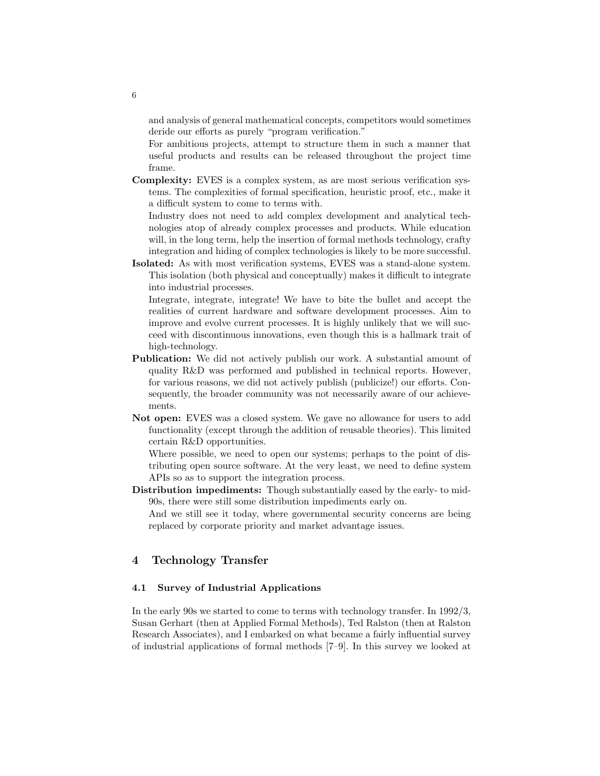and analysis of general mathematical concepts, competitors would sometimes deride our efforts as purely "program verification."

For ambitious projects, attempt to structure them in such a manner that useful products and results can be released throughout the project time frame.

**Complexity:** EVES is a complex system, as are most serious verification systems. The complexities of formal specification, heuristic proof, etc., make it a difficult system to come to terms with.

Industry does not need to add complex development and analytical technologies atop of already complex processes and products. While education will, in the long term, help the insertion of formal methods technology, crafty integration and hiding of complex technologies is likely to be more successful.

**Isolated:** As with most verification systems, EVES was a stand-alone system. This isolation (both physical and conceptually) makes it difficult to integrate into industrial processes.

Integrate, integrate, integrate! We have to bite the bullet and accept the realities of current hardware and software development processes. Aim to improve and evolve current processes. It is highly unlikely that we will succeed with discontinuous innovations, even though this is a hallmark trait of high-technology.

- **Publication:** We did not actively publish our work. A substantial amount of quality R&D was performed and published in technical reports. However, for various reasons, we did not actively publish (publicize!) our efforts. Consequently, the broader community was not necessarily aware of our achievements.
- **Not open:** EVES was a closed system. We gave no allowance for users to add functionality (except through the addition of reusable theories). This limited certain R&D opportunities.

Where possible, we need to open our systems; perhaps to the point of distributing open source software. At the very least, we need to define system APIs so as to support the integration process.

**Distribution impediments:** Though substantially eased by the early- to mid-90s, there were still some distribution impediments early on.

And we still see it today, where governmental security concerns are being replaced by corporate priority and market advantage issues.

# **4 Technology Transfer**

#### **4.1 Survey of Industrial Applications**

In the early 90s we started to come to terms with technology transfer. In 1992/3, Susan Gerhart (then at Applied Formal Methods), Ted Ralston (then at Ralston Research Associates), and I embarked on what became a fairly influential survey of industrial applications of formal methods [7–9]. In this survey we looked at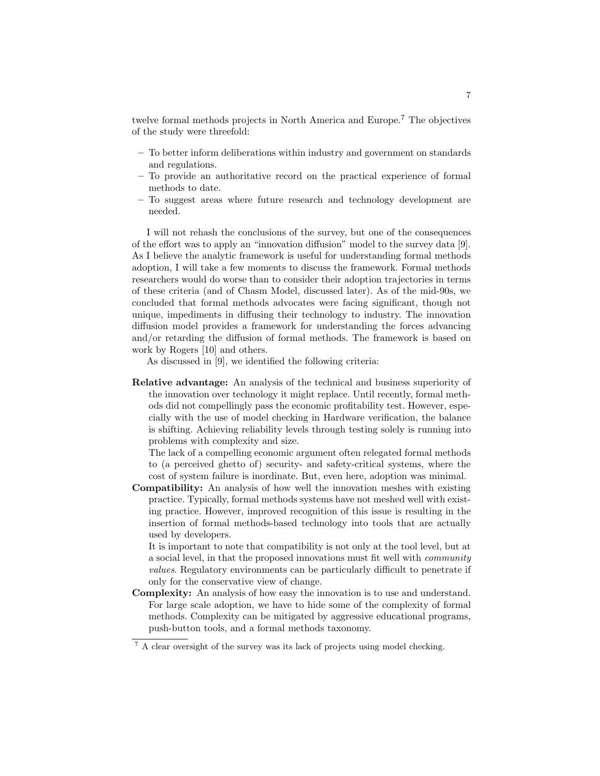twelve formal methods projects in North America and Europe.<sup>7</sup> The objectives of the study were threefold:

- **–** To better inform deliberations within industry and government on standards and regulations.
- **–** To provide an authoritative record on the practical experience of formal methods to date.
- **–** To suggest areas where future research and technology development are needed.

I will not rehash the conclusions of the survey, but one of the consequences of the effort was to apply an "innovation diffusion" model to the survey data [9]. As I believe the analytic framework is useful for understanding formal methods adoption, I will take a few moments to discuss the framework. Formal methods researchers would do worse than to consider their adoption trajectories in terms of these criteria (and of Chasm Model, discussed later). As of the mid-90s, we concluded that formal methods advocates were facing significant, though not unique, impediments in diffusing their technology to industry. The innovation diffusion model provides a framework for understanding the forces advancing and/or retarding the diffusion of formal methods. The framework is based on work by Rogers [10] and others.

As discussed in [9], we identified the following criteria:

**Relative advantage:** An analysis of the technical and business superiority of the innovation over technology it might replace. Until recently, formal methods did not compellingly pass the economic profitability test. However, especially with the use of model checking in Hardware verification, the balance is shifting. Achieving reliability levels through testing solely is running into problems with complexity and size.

The lack of a compelling economic argument often relegated formal methods to (a perceived ghetto of) security- and safety-critical systems, where the cost of system failure is inordinate. But, even here, adoption was minimal.

**Compatibility:** An analysis of how well the innovation meshes with existing practice. Typically, formal methods systems have not meshed well with existing practice. However, improved recognition of this issue is resulting in the insertion of formal methods-based technology into tools that are actually used by developers.

It is important to note that compatibility is not only at the tool level, but at a social level, in that the proposed innovations must fit well with community values. Regulatory environments can be particularly difficult to penetrate if only for the conservative view of change.

**Complexity:** An analysis of how easy the innovation is to use and understand. For large scale adoption, we have to hide some of the complexity of formal methods. Complexity can be mitigated by aggressive educational programs, push-button tools, and a formal methods taxonomy.

<sup>7</sup> A clear oversight of the survey was its lack of projects using model checking.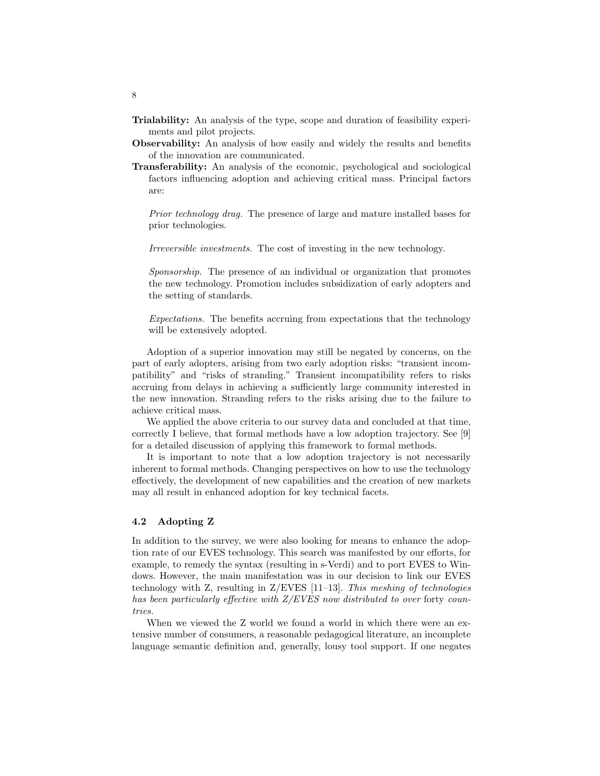- **Trialability:** An analysis of the type, scope and duration of feasibility experiments and pilot projects.
- **Observability:** An analysis of how easily and widely the results and benefits of the innovation are communicated.
- **Transferability:** An analysis of the economic, psychological and sociological factors influencing adoption and achieving critical mass. Principal factors are:

Prior technology drag. The presence of large and mature installed bases for prior technologies.

Irreversible investments. The cost of investing in the new technology.

Sponsorship. The presence of an individual or organization that promotes the new technology. Promotion includes subsidization of early adopters and the setting of standards.

Expectations. The benefits accruing from expectations that the technology will be extensively adopted.

Adoption of a superior innovation may still be negated by concerns, on the part of early adopters, arising from two early adoption risks: "transient incompatibility" and "risks of stranding." Transient incompatibility refers to risks accruing from delays in achieving a sufficiently large community interested in the new innovation. Stranding refers to the risks arising due to the failure to achieve critical mass.

We applied the above criteria to our survey data and concluded at that time, correctly I believe, that formal methods have a low adoption trajectory. See [9] for a detailed discussion of applying this framework to formal methods.

It is important to note that a low adoption trajectory is not necessarily inherent to formal methods. Changing perspectives on how to use the technology effectively, the development of new capabilities and the creation of new markets may all result in enhanced adoption for key technical facets.

#### **4.2 Adopting Z**

In addition to the survey, we were also looking for means to enhance the adoption rate of our EVES technology. This search was manifested by our efforts, for example, to remedy the syntax (resulting in s-Verdi) and to port EVES to Windows. However, the main manifestation was in our decision to link our EVES technology with  $Z$ , resulting in  $Z/EVES$  [11–13]. This meshing of technologies has been particularly effective with  $Z/EVES$  now distributed to over forty countries.

When we viewed the Z world we found a world in which there were an extensive number of consumers, a reasonable pedagogical literature, an incomplete language semantic definition and, generally, lousy tool support. If one negates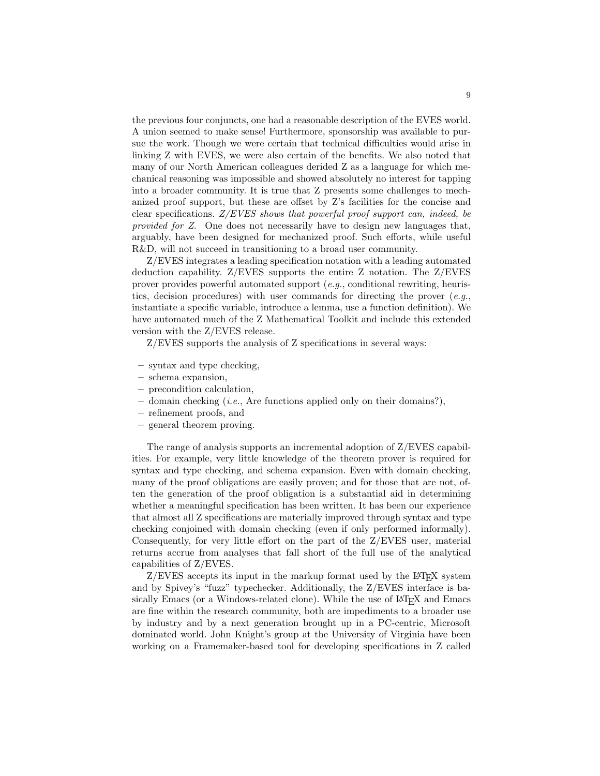the previous four conjuncts, one had a reasonable description of the EVES world. A union seemed to make sense! Furthermore, sponsorship was available to pursue the work. Though we were certain that technical difficulties would arise in linking Z with EVES, we were also certain of the benefits. We also noted that many of our North American colleagues derided Z as a language for which mechanical reasoning was impossible and showed absolutely no interest for tapping into a broader community. It is true that Z presents some challenges to mechanized proof support, but these are offset by Z's facilities for the concise and clear specifications.  $Z/EVES$  shows that powerful proof support can, indeed, be provided for Z. One does not necessarily have to design new languages that, arguably, have been designed for mechanized proof. Such efforts, while useful R&D, will not succeed in transitioning to a broad user community.

Z/EVES integrates a leading specification notation with a leading automated deduction capability. Z/EVES supports the entire Z notation. The Z/EVES prover provides powerful automated support (e.g., conditional rewriting, heuristics, decision procedures) with user commands for directing the prover  $(e.g.,)$ instantiate a specific variable, introduce a lemma, use a function definition). We have automated much of the Z Mathematical Toolkit and include this extended version with the Z/EVES release.

Z/EVES supports the analysis of Z specifications in several ways:

- **–** syntax and type checking,
- **–** schema expansion,
- **–** precondition calculation,
- **–** domain checking (i.e., Are functions applied only on their domains?),
- **–** refinement proofs, and
- **–** general theorem proving.

The range of analysis supports an incremental adoption of Z/EVES capabilities. For example, very little knowledge of the theorem prover is required for syntax and type checking, and schema expansion. Even with domain checking, many of the proof obligations are easily proven; and for those that are not, often the generation of the proof obligation is a substantial aid in determining whether a meaningful specification has been written. It has been our experience that almost all Z specifications are materially improved through syntax and type checking conjoined with domain checking (even if only performed informally). Consequently, for very little effort on the part of the Z/EVES user, material returns accrue from analyses that fall short of the full use of the analytical capabilities of Z/EVES.

 $Z/EVES$  accepts its input in the markup format used by the  $ETFX$  system and by Spivey's "fuzz" typechecker. Additionally, the Z/EVES interface is basically Emacs (or a Windows-related clone). While the use of LAT<sub>EX</sub> and Emacs are fine within the research community, both are impediments to a broader use by industry and by a next generation brought up in a PC-centric, Microsoft dominated world. John Knight's group at the University of Virginia have been working on a Framemaker-based tool for developing specifications in Z called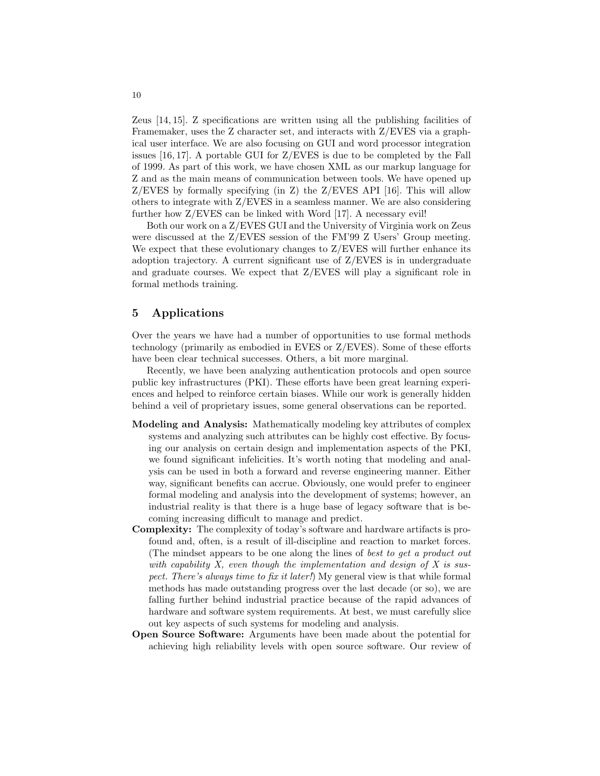Zeus [14, 15]. Z specifications are written using all the publishing facilities of Framemaker, uses the Z character set, and interacts with Z/EVES via a graphical user interface. We are also focusing on GUI and word processor integration issues [16, 17]. A portable GUI for Z/EVES is due to be completed by the Fall of 1999. As part of this work, we have chosen XML as our markup language for Z and as the main means of communication between tools. We have opened up Z/EVES by formally specifying (in Z) the Z/EVES API [16]. This will allow others to integrate with Z/EVES in a seamless manner. We are also considering further how Z/EVES can be linked with Word [17]. A necessary evil!

Both our work on a Z/EVES GUI and the University of Virginia work on Zeus were discussed at the Z/EVES session of the FM'99 Z Users' Group meeting. We expect that these evolutionary changes to  $Z/EVES$  will further enhance its adoption trajectory. A current significant use of Z/EVES is in undergraduate and graduate courses. We expect that Z/EVES will play a significant role in formal methods training.

# **5 Applications**

Over the years we have had a number of opportunities to use formal methods technology (primarily as embodied in EVES or Z/EVES). Some of these efforts have been clear technical successes. Others, a bit more marginal.

Recently, we have been analyzing authentication protocols and open source public key infrastructures (PKI). These efforts have been great learning experiences and helped to reinforce certain biases. While our work is generally hidden behind a veil of proprietary issues, some general observations can be reported.

- **Modeling and Analysis:** Mathematically modeling key attributes of complex systems and analyzing such attributes can be highly cost effective. By focusing our analysis on certain design and implementation aspects of the PKI, we found significant infelicities. It's worth noting that modeling and analysis can be used in both a forward and reverse engineering manner. Either way, significant benefits can accrue. Obviously, one would prefer to engineer formal modeling and analysis into the development of systems; however, an industrial reality is that there is a huge base of legacy software that is becoming increasing difficult to manage and predict.
- **Complexity:** The complexity of today's software and hardware artifacts is profound and, often, is a result of ill-discipline and reaction to market forces. (The mindset appears to be one along the lines of best to get a product out with capability  $X$ , even though the implementation and design of  $X$  is suspect. There's always time to fix it later!) My general view is that while formal methods has made outstanding progress over the last decade (or so), we are falling further behind industrial practice because of the rapid advances of hardware and software system requirements. At best, we must carefully slice out key aspects of such systems for modeling and analysis.
- **Open Source Software:** Arguments have been made about the potential for achieving high reliability levels with open source software. Our review of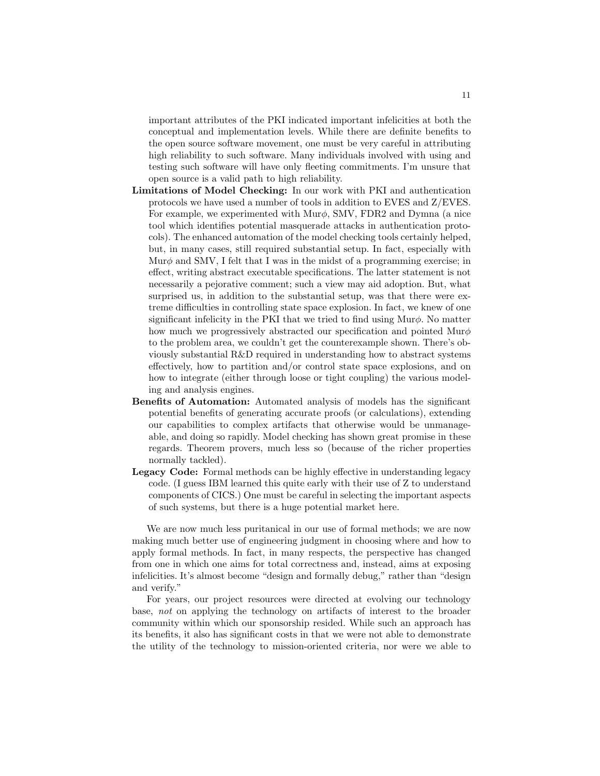important attributes of the PKI indicated important infelicities at both the conceptual and implementation levels. While there are definite benefits to the open source software movement, one must be very careful in attributing high reliability to such software. Many individuals involved with using and testing such software will have only fleeting commitments. I'm unsure that open source is a valid path to high reliability.

- **Limitations of Model Checking:** In our work with PKI and authentication protocols we have used a number of tools in addition to EVES and Z/EVES. For example, we experimented with  $\text{Mur}\phi$ , SMV, FDR2 and Dymna (a nice tool which identifies potential masquerade attacks in authentication protocols). The enhanced automation of the model checking tools certainly helped, but, in many cases, still required substantial setup. In fact, especially with Mur $\phi$  and SMV, I felt that I was in the midst of a programming exercise; in effect, writing abstract executable specifications. The latter statement is not necessarily a pejorative comment; such a view may aid adoption. But, what surprised us, in addition to the substantial setup, was that there were extreme difficulties in controlling state space explosion. In fact, we knew of one significant infelicity in the PKI that we tried to find using  $\text{Mur}\phi$ . No matter how much we progressively abstracted our specification and pointed  $\text{Mur}\phi$ to the problem area, we couldn't get the counterexample shown. There's obviously substantial R&D required in understanding how to abstract systems effectively, how to partition and/or control state space explosions, and on how to integrate (either through loose or tight coupling) the various modeling and analysis engines.
- **Benefits of Automation:** Automated analysis of models has the significant potential benefits of generating accurate proofs (or calculations), extending our capabilities to complex artifacts that otherwise would be unmanageable, and doing so rapidly. Model checking has shown great promise in these regards. Theorem provers, much less so (because of the richer properties normally tackled).
- **Legacy Code:** Formal methods can be highly effective in understanding legacy code. (I guess IBM learned this quite early with their use of Z to understand components of CICS.) One must be careful in selecting the important aspects of such systems, but there is a huge potential market here.

We are now much less puritanical in our use of formal methods; we are now making much better use of engineering judgment in choosing where and how to apply formal methods. In fact, in many respects, the perspective has changed from one in which one aims for total correctness and, instead, aims at exposing infelicities. It's almost become "design and formally debug," rather than "design and verify."

For years, our project resources were directed at evolving our technology base, not on applying the technology on artifacts of interest to the broader community within which our sponsorship resided. While such an approach has its benefits, it also has significant costs in that we were not able to demonstrate the utility of the technology to mission-oriented criteria, nor were we able to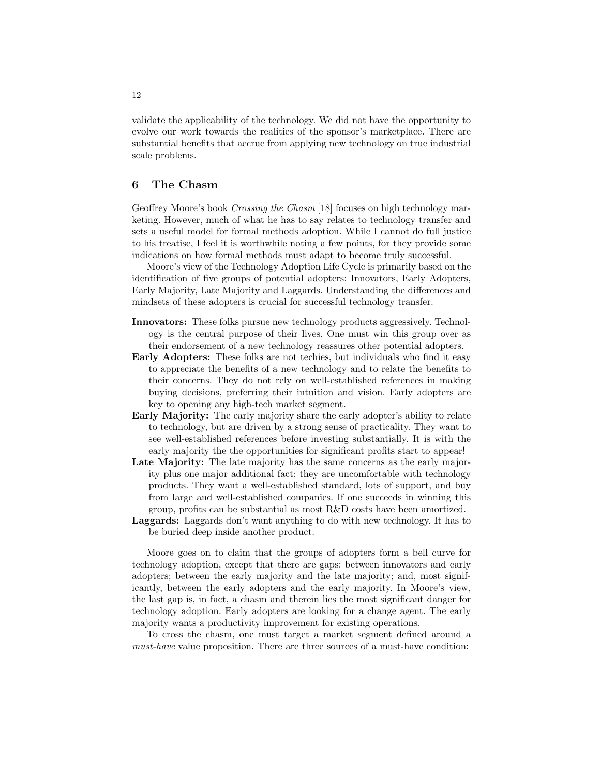validate the applicability of the technology. We did not have the opportunity to evolve our work towards the realities of the sponsor's marketplace. There are substantial benefits that accrue from applying new technology on true industrial scale problems.

#### **6 The Chasm**

Geoffrey Moore's book Crossing the Chasm [18] focuses on high technology marketing. However, much of what he has to say relates to technology transfer and sets a useful model for formal methods adoption. While I cannot do full justice to his treatise, I feel it is worthwhile noting a few points, for they provide some indications on how formal methods must adapt to become truly successful.

Moore's view of the Technology Adoption Life Cycle is primarily based on the identification of five groups of potential adopters: Innovators, Early Adopters, Early Majority, Late Majority and Laggards. Understanding the differences and mindsets of these adopters is crucial for successful technology transfer.

- **Innovators:** These folks pursue new technology products aggressively. Technology is the central purpose of their lives. One must win this group over as their endorsement of a new technology reassures other potential adopters.
- **Early Adopters:** These folks are not techies, but individuals who find it easy to appreciate the benefits of a new technology and to relate the benefits to their concerns. They do not rely on well-established references in making buying decisions, preferring their intuition and vision. Early adopters are key to opening any high-tech market segment.
- **Early Majority:** The early majority share the early adopter's ability to relate to technology, but are driven by a strong sense of practicality. They want to see well-established references before investing substantially. It is with the early majority the the opportunities for significant profits start to appear!
- **Late Majority:** The late majority has the same concerns as the early majority plus one major additional fact: they are uncomfortable with technology products. They want a well-established standard, lots of support, and buy from large and well-established companies. If one succeeds in winning this group, profits can be substantial as most R&D costs have been amortized.
- **Laggards:** Laggards don't want anything to do with new technology. It has to be buried deep inside another product.

Moore goes on to claim that the groups of adopters form a bell curve for technology adoption, except that there are gaps: between innovators and early adopters; between the early majority and the late majority; and, most significantly, between the early adopters and the early majority. In Moore's view, the last gap is, in fact, a chasm and therein lies the most significant danger for technology adoption. Early adopters are looking for a change agent. The early majority wants a productivity improvement for existing operations.

To cross the chasm, one must target a market segment defined around a must-have value proposition. There are three sources of a must-have condition: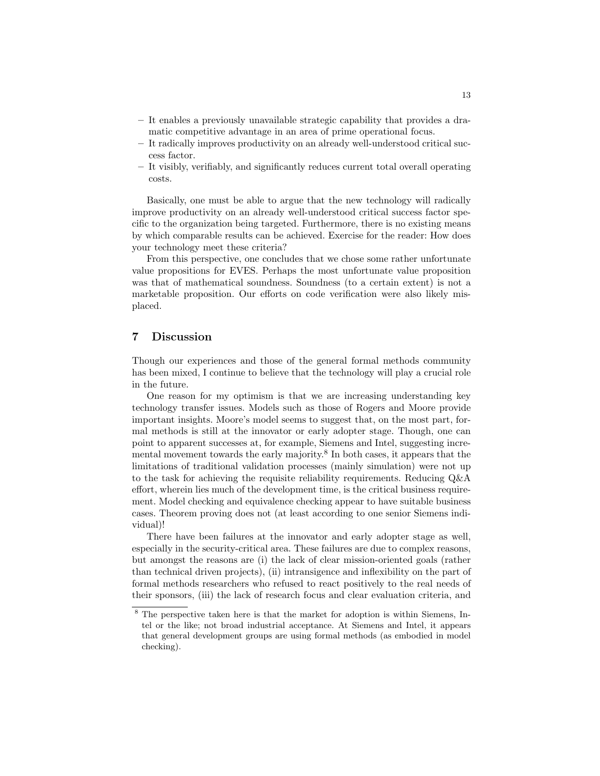- **–** It enables a previously unavailable strategic capability that provides a dramatic competitive advantage in an area of prime operational focus.
- **–** It radically improves productivity on an already well-understood critical success factor.
- **–** It visibly, verifiably, and significantly reduces current total overall operating costs.

Basically, one must be able to argue that the new technology will radically improve productivity on an already well-understood critical success factor specific to the organization being targeted. Furthermore, there is no existing means by which comparable results can be achieved. Exercise for the reader: How does your technology meet these criteria?

From this perspective, one concludes that we chose some rather unfortunate value propositions for EVES. Perhaps the most unfortunate value proposition was that of mathematical soundness. Soundness (to a certain extent) is not a marketable proposition. Our efforts on code verification were also likely misplaced.

#### **7 Discussion**

Though our experiences and those of the general formal methods community has been mixed, I continue to believe that the technology will play a crucial role in the future.

One reason for my optimism is that we are increasing understanding key technology transfer issues. Models such as those of Rogers and Moore provide important insights. Moore's model seems to suggest that, on the most part, formal methods is still at the innovator or early adopter stage. Though, one can point to apparent successes at, for example, Siemens and Intel, suggesting incremental movement towards the early majority. $8 \text{ In both cases, it appears that the}$ limitations of traditional validation processes (mainly simulation) were not up to the task for achieving the requisite reliability requirements. Reducing Q&A effort, wherein lies much of the development time, is the critical business requirement. Model checking and equivalence checking appear to have suitable business cases. Theorem proving does not (at least according to one senior Siemens individual)!

There have been failures at the innovator and early adopter stage as well, especially in the security-critical area. These failures are due to complex reasons, but amongst the reasons are (i) the lack of clear mission-oriented goals (rather than technical driven projects), (ii) intransigence and inflexibility on the part of formal methods researchers who refused to react positively to the real needs of their sponsors, (iii) the lack of research focus and clear evaluation criteria, and

<sup>8</sup> The perspective taken here is that the market for adoption is within Siemens, Intel or the like; not broad industrial acceptance. At Siemens and Intel, it appears that general development groups are using formal methods (as embodied in model checking).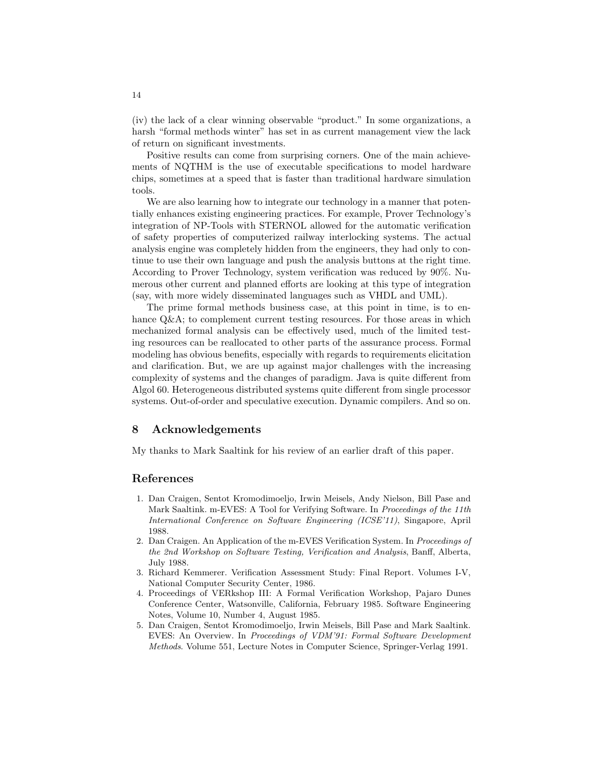(iv) the lack of a clear winning observable "product." In some organizations, a harsh "formal methods winter" has set in as current management view the lack of return on significant investments.

Positive results can come from surprising corners. One of the main achievements of NQTHM is the use of executable specifications to model hardware chips, sometimes at a speed that is faster than traditional hardware simulation tools.

We are also learning how to integrate our technology in a manner that potentially enhances existing engineering practices. For example, Prover Technology's integration of NP-Tools with STERNOL allowed for the automatic verification of safety properties of computerized railway interlocking systems. The actual analysis engine was completely hidden from the engineers, they had only to continue to use their own language and push the analysis buttons at the right time. According to Prover Technology, system verification was reduced by 90%. Numerous other current and planned efforts are looking at this type of integration (say, with more widely disseminated languages such as VHDL and UML).

The prime formal methods business case, at this point in time, is to enhance  $Q\&A$ ; to complement current testing resources. For those areas in which mechanized formal analysis can be effectively used, much of the limited testing resources can be reallocated to other parts of the assurance process. Formal modeling has obvious benefits, especially with regards to requirements elicitation and clarification. But, we are up against major challenges with the increasing complexity of systems and the changes of paradigm. Java is quite different from Algol 60. Heterogeneous distributed systems quite different from single processor systems. Out-of-order and speculative execution. Dynamic compilers. And so on.

#### **8 Acknowledgements**

My thanks to Mark Saaltink for his review of an earlier draft of this paper.

# **References**

- 1. Dan Craigen, Sentot Kromodimoeljo, Irwin Meisels, Andy Nielson, Bill Pase and Mark Saaltink. m-EVES: A Tool for Verifying Software. In Proceedings of the 11th International Conference on Software Engineering (ICSE'11), Singapore, April 1988.
- 2. Dan Craigen. An Application of the m-EVES Verification System. In Proceedings of the 2nd Workshop on Software Testing, Verification and Analysis, Banff, Alberta, July 1988.
- 3. Richard Kemmerer. Verification Assessment Study: Final Report. Volumes I-V, National Computer Security Center, 1986.
- 4. Proceedings of VERkshop III: A Formal Verification Workshop, Pajaro Dunes Conference Center, Watsonville, California, February 1985. Software Engineering Notes, Volume 10, Number 4, August 1985.
- 5. Dan Craigen, Sentot Kromodimoeljo, Irwin Meisels, Bill Pase and Mark Saaltink. EVES: An Overview. In Proceedings of VDM'91: Formal Software Development Methods. Volume 551, Lecture Notes in Computer Science, Springer-Verlag 1991.